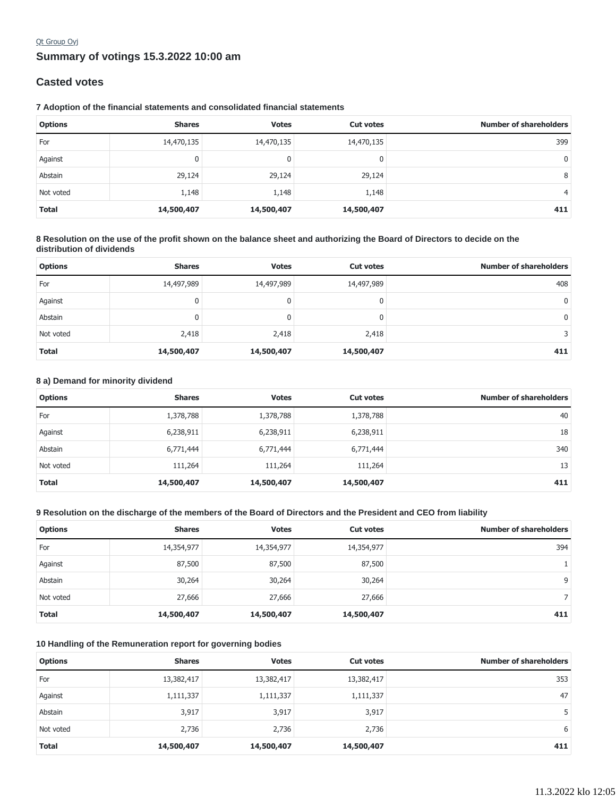## **Summary of votings 15.3.2022 10:00 am** Qt Group Oyj

## **Casted votes**

### **7 Adoption of the financial statements and consolidated financial statements**

| <b>Options</b> | <b>Shares</b> | <b>Votes</b> | <b>Cut votes</b> | <b>Number of shareholders</b> |
|----------------|---------------|--------------|------------------|-------------------------------|
| For            | 14,470,135    | 14,470,135   | 14,470,135       | 399                           |
| Against        | 0             | 0            | 0                | 0                             |
| Abstain        | 29,124        | 29,124       | 29,124           | 8                             |
| Not voted      | 1,148         | 1,148        | 1,148            | $\overline{4}$                |
| <b>Total</b>   | 14,500,407    | 14,500,407   | 14,500,407       | 411                           |

### **8 Resolution on the use of the profit shown on the balance sheet and authorizing the Board of Directors to decide on the distribution of dividends**

| <b>Options</b> | <b>Shares</b> | <b>Votes</b> | <b>Cut votes</b> | <b>Number of shareholders</b> |
|----------------|---------------|--------------|------------------|-------------------------------|
| For            | 14,497,989    | 14,497,989   | 14,497,989       | 408                           |
| Against        | 0             | 0            |                  | 0                             |
| Abstain        | 0             |              |                  | $\mathbf{0}$                  |
| Not voted      | 2,418         | 2,418        | 2,418            | 3.                            |
| <b>Total</b>   | 14,500,407    | 14,500,407   | 14,500,407       | 411                           |

#### **8 a) Demand for minority dividend**

| <b>Options</b> | <b>Shares</b> | <b>Votes</b> | <b>Cut votes</b> | <b>Number of shareholders</b> |
|----------------|---------------|--------------|------------------|-------------------------------|
| For            | 1,378,788     | 1,378,788    | 1,378,788        | 40                            |
| Against        | 6,238,911     | 6,238,911    | 6,238,911        | 18                            |
| Abstain        | 6,771,444     | 6,771,444    | 6,771,444        | 340                           |
| Not voted      | 111,264       | 111,264      | 111,264          | 13                            |
| <b>Total</b>   | 14,500,407    | 14,500,407   | 14,500,407       | 411                           |

### **9 Resolution on the discharge of the members of the Board of Directors and the President and CEO from liability**

| <b>Options</b> | <b>Shares</b> | <b>Votes</b> | <b>Cut votes</b> | <b>Number of shareholders</b> |
|----------------|---------------|--------------|------------------|-------------------------------|
| For            | 14,354,977    | 14,354,977   | 14,354,977       | 394                           |
| Against        | 87,500        | 87,500       | 87,500           |                               |
| Abstain        | 30,264        | 30,264       | 30,264           | 9                             |
| Not voted      | 27,666        | 27,666       | 27,666           | Γ.                            |
| <b>Total</b>   | 14,500,407    | 14,500,407   | 14,500,407       | 411                           |

## **10 Handling of the Remuneration report for governing bodies**

| <b>Options</b> | <b>Shares</b> | <b>Votes</b> | <b>Cut votes</b> | <b>Number of shareholders</b> |
|----------------|---------------|--------------|------------------|-------------------------------|
| For            | 13,382,417    | 13,382,417   | 13,382,417       | 353                           |
| Against        | 1,111,337     | 1,111,337    | 1,111,337        | 47                            |
| Abstain        | 3,917         | 3,917        | 3,917            | 5                             |
| Not voted      | 2,736         | 2,736        | 2,736            | 6                             |
| <b>Total</b>   | 14,500,407    | 14,500,407   | 14,500,407       | 411                           |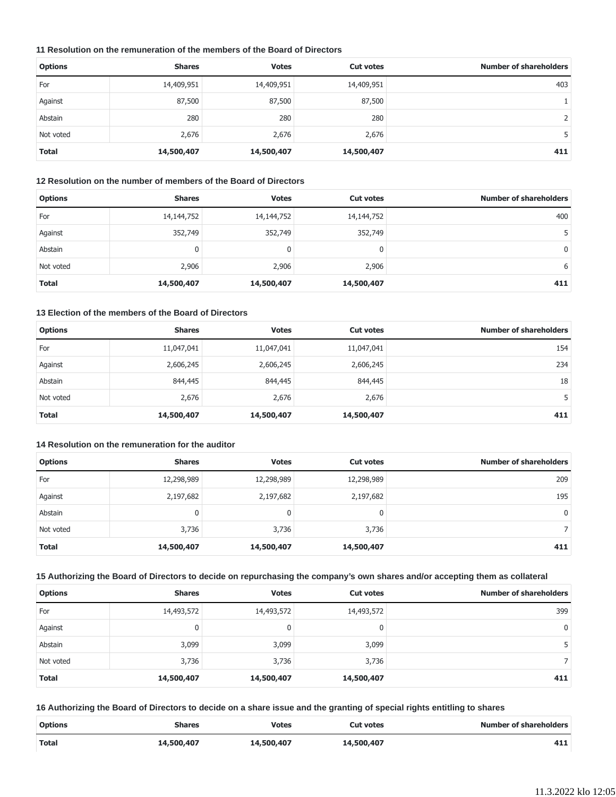## **11 Resolution on the remuneration of the members of the Board of Directors**

| <b>Options</b> | <b>Shares</b> | <b>Votes</b> | <b>Cut votes</b> | <b>Number of shareholders</b> |
|----------------|---------------|--------------|------------------|-------------------------------|
| For            | 14,409,951    | 14,409,951   | 14,409,951       | 403                           |
| Against        | 87,500        | 87,500       | 87,500           |                               |
| Abstain        | 280           | 280          | 280              |                               |
| Not voted      | 2,676         | 2,676        | 2,676            |                               |
| <b>Total</b>   | 14,500,407    | 14,500,407   | 14,500,407       | 411                           |

#### **12 Resolution on the number of members of the Board of Directors**

| <b>Options</b> | <b>Shares</b> | <b>Votes</b> | <b>Cut votes</b> | <b>Number of shareholders</b> |
|----------------|---------------|--------------|------------------|-------------------------------|
| For            | 14,144,752    | 14,144,752   | 14,144,752       | 400                           |
| Against        | 352,749       | 352,749      | 352,749          |                               |
| Abstain        | 0             | 0            | 0                | 0                             |
| Not voted      | 2,906         | 2,906        | 2,906            | 6                             |
| <b>Total</b>   | 14,500,407    | 14,500,407   | 14,500,407       | 411                           |

## **13 Election of the members of the Board of Directors**

| <b>Options</b> | <b>Shares</b> | <b>Votes</b> | <b>Cut votes</b> | <b>Number of shareholders</b> |
|----------------|---------------|--------------|------------------|-------------------------------|
| For            | 11,047,041    | 11,047,041   | 11,047,041       | 154                           |
| Against        | 2,606,245     | 2,606,245    | 2,606,245        | 234                           |
| Abstain        | 844,445       | 844,445      | 844,445          | 18                            |
| Not voted      | 2,676         | 2,676        | 2,676            |                               |
| <b>Total</b>   | 14,500,407    | 14,500,407   | 14,500,407       | 411                           |

### **14 Resolution on the remuneration for the auditor**

| <b>Options</b> | <b>Shares</b> | <b>Votes</b> | <b>Cut votes</b> | <b>Number of shareholders</b> |
|----------------|---------------|--------------|------------------|-------------------------------|
| For            | 12,298,989    | 12,298,989   | 12,298,989       | 209                           |
| Against        | 2,197,682     | 2,197,682    | 2,197,682        | 195                           |
| Abstain        | 0             |              | 0                | 0                             |
| Not voted      | 3,736         | 3,736        | 3,736            |                               |
| <b>Total</b>   | 14,500,407    | 14,500,407   | 14,500,407       | 411                           |

## **15 Authorizing the Board of Directors to decide on repurchasing the company's own shares and/or accepting them as collateral**

| <b>Options</b> | <b>Shares</b> | <b>Votes</b> | <b>Cut votes</b> | <b>Number of shareholders</b> |
|----------------|---------------|--------------|------------------|-------------------------------|
| For            | 14,493,572    | 14,493,572   | 14,493,572       | 399                           |
| Against        | 0             | 0            | 0                | $\mathbf{0}$                  |
| Abstain        | 3,099         | 3,099        | 3,099            | 5.                            |
| Not voted      | 3,736         | 3,736        | 3,736            |                               |
| <b>Total</b>   | 14,500,407    | 14,500,407   | 14,500,407       | 411                           |

## **16 Authorizing the Board of Directors to decide on a share issue and the granting of special rights entitling to shares**

| <b>Options</b> | <b>Shares</b> | <b>Votes</b> | <b>Cut votes</b> | <b>Number of shareholders</b> |
|----------------|---------------|--------------|------------------|-------------------------------|
| <b>Total</b>   | 14,500,407    | 14,500,407   | 14,500,407       | 411                           |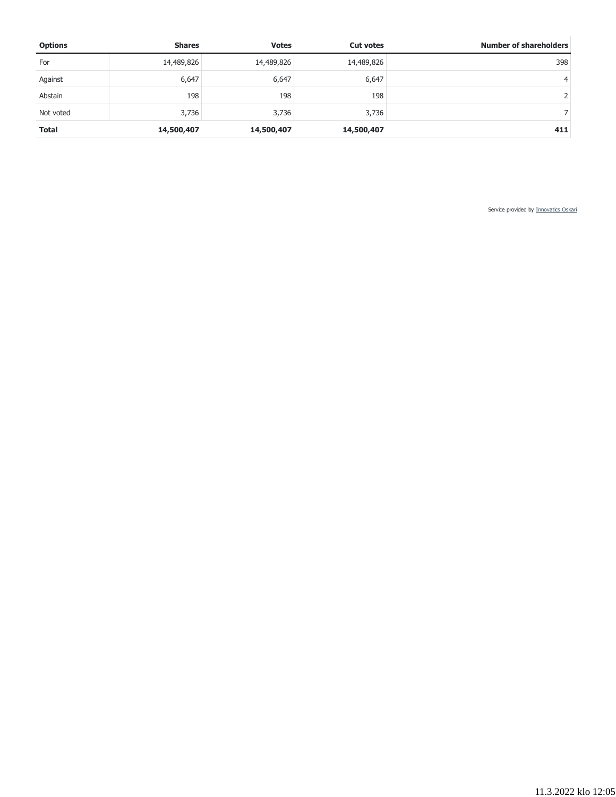| <b>Options</b> | <b>Shares</b> | <b>Votes</b> | <b>Cut votes</b> | <b>Number of shareholders</b> |
|----------------|---------------|--------------|------------------|-------------------------------|
| For            | 14,489,826    | 14,489,826   | 14,489,826       | 398                           |
| Against        | 6,647         | 6,647        | 6,647            | 4                             |
| Abstain        | 198           | 198          | 198              |                               |
| Not voted      | 3,736         | 3,736        | 3,736            |                               |
| <b>Total</b>   | 14,500,407    | 14,500,407   | 14,500,407       | 411                           |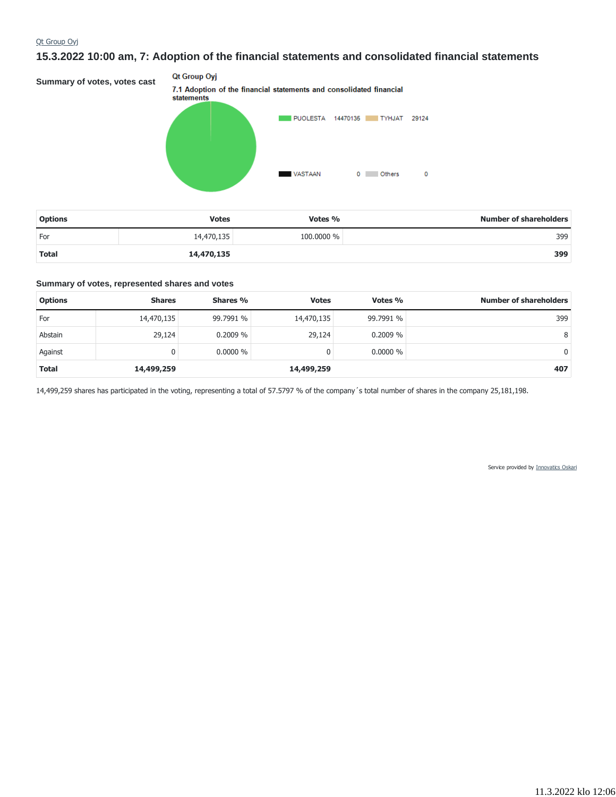# **15.3.2022 10:00 am, 7: Adoption of the financial statements and consolidated financial statements**

Qt Group Oyj **Summary of votes, votes cast** 7.1 Adoption of the financial statements and consolidated financial statements PUOLESTA 14470135 TYHJAT 29124 **VASTAAN** 0 Others  $\circ$ 

| <b>Options</b> | <b>Votes</b> | Votes %    | <b>Number of shareholders</b> |
|----------------|--------------|------------|-------------------------------|
| For            | 14,470,135   | 100,0000 % | 399                           |
| Total          | 14,470,135   |            | 399                           |

#### **Summary of votes, represented shares and votes**

| <b>Options</b> | <b>Shares</b> | Shares %   | <b>Votes</b> | Votes %    | <b>Number of shareholders</b> |
|----------------|---------------|------------|--------------|------------|-------------------------------|
| For            | 14,470,135    | 99.7991 %  | 14,470,135   | 99.7991 %  | 399                           |
| Abstain        | 29,124        | 0.2009%    | 29,124       | $0.2009\%$ | 8                             |
| Against        |               | $0.0000\%$ | 0            | $0.0000\%$ | 0                             |
| <b>Total</b>   | 14,499,259    |            | 14,499,259   |            | 407                           |

14,499,259 shares has participated in the voting, representing a total of 57.5797 % of the company´s total number of shares in the company 25,181,198.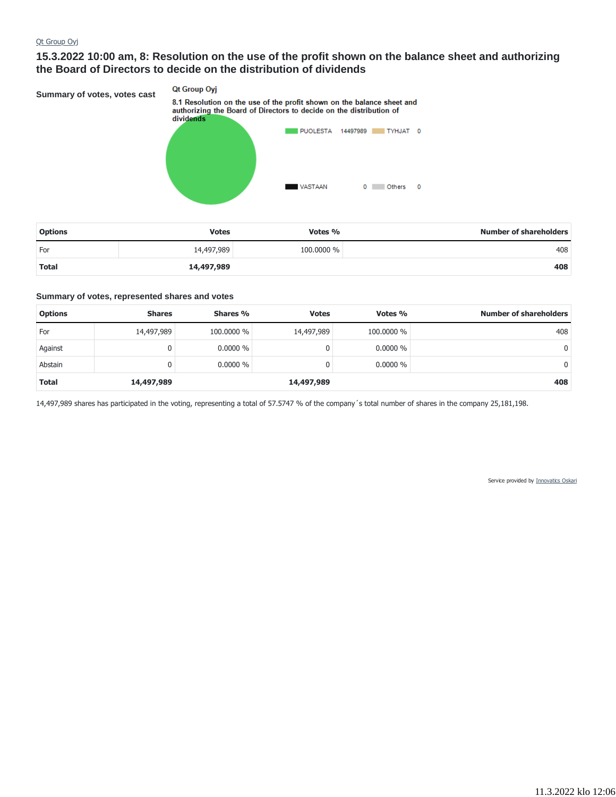## **15.3.2022 10:00 am, 8: Resolution on the use of the profit shown on the balance sheet and authorizing the Board of Directors to decide on the distribution of dividends**

**Qt Group Oyj Summary of votes, votes cast** 8.1 Resolution on the use of the profit shown on the balance sheet and authorizing the Board of Directors to decide on the distribution of dividends PUOLESTA 14497989 TYHJAT 0 **VASTAAN** 0 Others 0

| <b>Options</b> | <b>Votes</b> | Votes %    | <b>Number of shareholders</b> |
|----------------|--------------|------------|-------------------------------|
| For            | 14,497,989   | 100,0000 % | 408                           |
| <b>Total</b>   | 14,497,989   |            | 408                           |

#### **Summary of votes, represented shares and votes**

| <b>Options</b> | <b>Shares</b> | Shares %   | <b>Votes</b> | Votes %    | <b>Number of shareholders</b> |
|----------------|---------------|------------|--------------|------------|-------------------------------|
| For            | 14,497,989    | 100,0000 % | 14,497,989   | 100,0000 % | 408                           |
| Against        |               | $0.0000\%$ |              | $0.0000\%$ | 0                             |
| Abstain        | 0             | $0.0000\%$ |              | $0.0000\%$ | 0                             |
| <b>Total</b>   | 14,497,989    |            | 14,497,989   |            | 408                           |

14,497,989 shares has participated in the voting, representing a total of 57.5747 % of the company´s total number of shares in the company 25,181,198.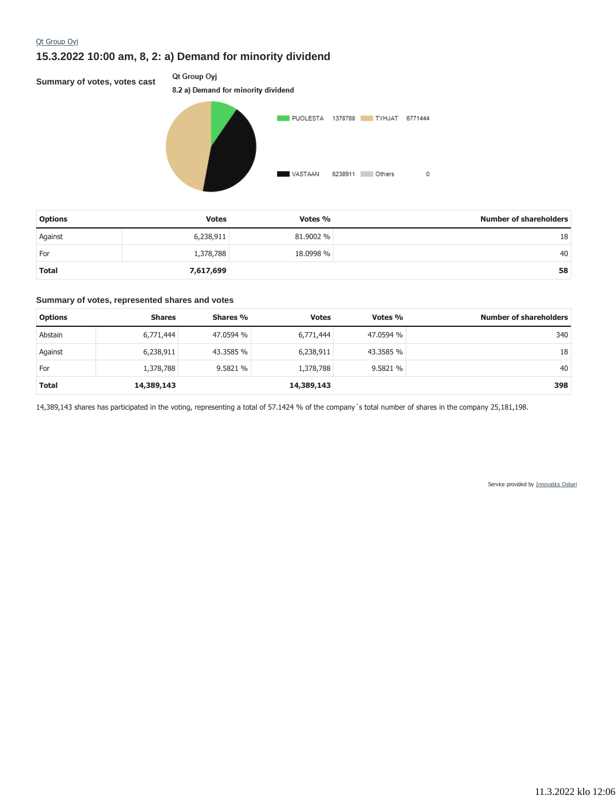# **15.3.2022 10:00 am, 8, 2: a) Demand for minority dividend**

**Summary of votes, votes cast**

## Qt Group Oyj



| <b>Options</b> | <b>Votes</b> | Votes $\%$ | <b>Number of shareholders</b> |
|----------------|--------------|------------|-------------------------------|
| Against        | 6,238,911    | 81,9002 %  | 18                            |
| For            | 1,378,788    | 18.0998 %  | 40                            |
| <b>Total</b>   | 7,617,699    |            | 58                            |

#### **Summary of votes, represented shares and votes**

| <b>Options</b> | <b>Shares</b> | Shares %  | <b>Votes</b> | Votes %   | <b>Number of shareholders</b> |
|----------------|---------------|-----------|--------------|-----------|-------------------------------|
| Abstain        | 6,771,444     | 47.0594 % | 6,771,444    | 47.0594 % | 340                           |
| Against        | 6,238,911     | 43.3585 % | 6,238,911    | 43.3585 % | 18                            |
| For            | 1,378,788     | 9.5821 %  | 1,378,788    | 9.5821 %  | 40                            |
| <b>Total</b>   | 14,389,143    |           | 14,389,143   |           | 398                           |

14,389,143 shares has participated in the voting, representing a total of 57.1424 % of the company´s total number of shares in the company 25,181,198.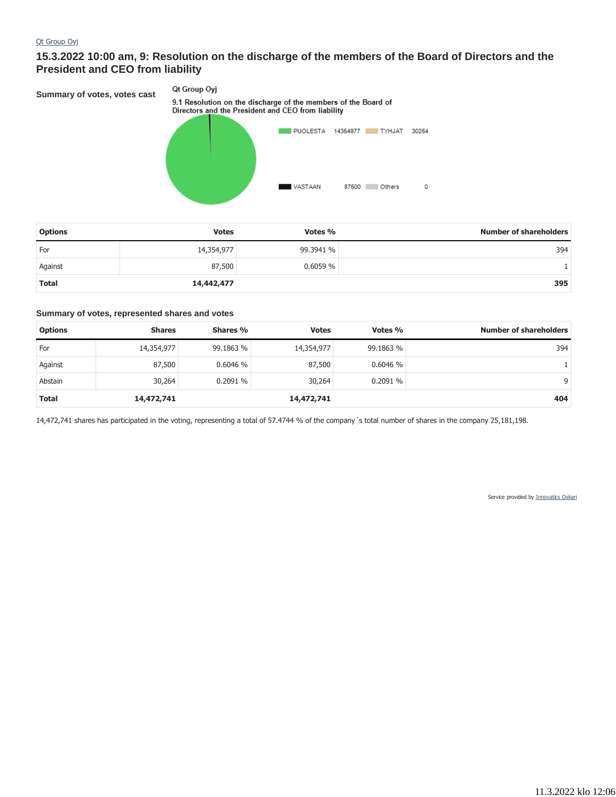## **15.3.2022 10:00 am, 9: Resolution on the discharge of the members of the Board of Directors and the President and CEO from liability**

Qt Group Oyj **Summary of votes, votes cast** 9.1 Resolution on the discharge of the members of the Board of<br>Directors and the President and CEO from liability PUOLESTA 14354977 TYHJAT 30264 **VASTAAN** 87500 Others  $\mathbf 0$ 

| <b>Options</b> | <b>Votes</b> | Votes %   | <b>Number of shareholders</b> |
|----------------|--------------|-----------|-------------------------------|
| For            | 14,354,977   | 99.3941 % | 394                           |
| Against        | 87,500       | 0.6059%   |                               |
| <b>Total</b>   | 14,442,477   |           | 395                           |

#### **Summary of votes, represented shares and votes**

| <b>Options</b> | <b>Shares</b> | Shares %  | <b>Votes</b> | Votes %   | <b>Number of shareholders</b> |
|----------------|---------------|-----------|--------------|-----------|-------------------------------|
| For            | 14,354,977    | 99.1863 % | 14,354,977   | 99.1863 % | 394                           |
| Against        | 87,500        | 0.6046%   | 87,500       | 0.6046%   |                               |
| Abstain        | 30,264        | 0.2091%   | 30,264       | 0.2091%   | 9                             |
| <b>Total</b>   | 14,472,741    |           | 14,472,741   |           | 404                           |

14,472,741 shares has participated in the voting, representing a total of 57.4744 % of the company´s total number of shares in the company 25,181,198.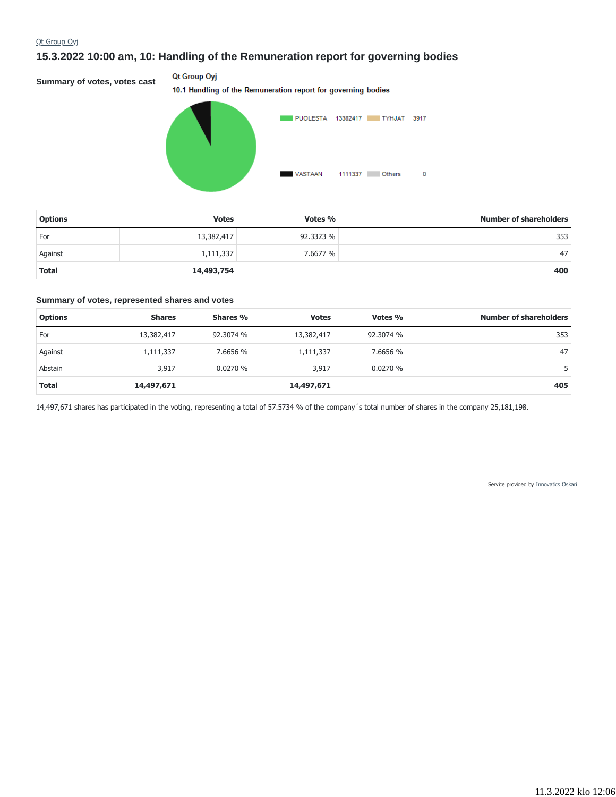# **15.3.2022 10:00 am, 10: Handling of the Remuneration report for governing bodies**

**Summary of votes, votes cast**

### Qt Group Oyj

10.1 Handling of the Remuneration report for governing bodies



| <b>Options</b> | <b>Votes</b> | Votes %   | <b>Number of shareholders</b> |
|----------------|--------------|-----------|-------------------------------|
| For            | 13,382,417   | 92.3323 % | 353                           |
| Against        | 1,111,337    | 7.6677 %  | 47                            |
| <b>Total</b>   | 14,493,754   |           | 400                           |

#### **Summary of votes, represented shares and votes**

| <b>Options</b> | <b>Shares</b> | Shares %  | <b>Votes</b> | Votes %   | <b>Number of shareholders</b> |
|----------------|---------------|-----------|--------------|-----------|-------------------------------|
| For            | 13,382,417    | 92.3074 % | 13,382,417   | 92.3074 % | 353                           |
| Against        | 1,111,337     | 7.6656 %  | 1,111,337    | 7.6656 %  | 47                            |
| Abstain        | 3,917         | 0.0270%   | 3,917        | 0.0270%   |                               |
| <b>Total</b>   | 14,497,671    |           | 14,497,671   |           | 405                           |

14,497,671 shares has participated in the voting, representing a total of 57.5734 % of the company´s total number of shares in the company 25,181,198.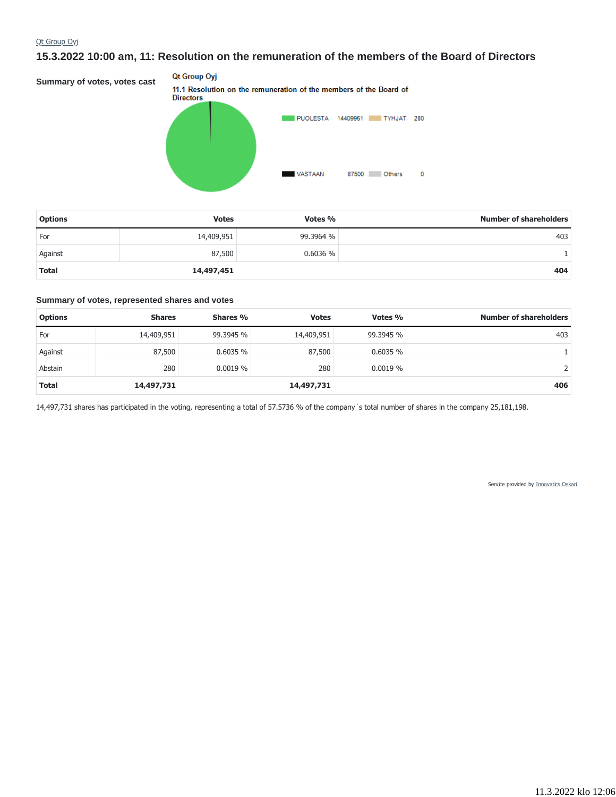## **15.3.2022 10:00 am, 11: Resolution on the remuneration of the members of the Board of Directors**

Qt Group Oyj **Summary of votes, votes cast** 11.1 Resolution on the remuneration of the members of the Board of **Directors** PUOLESTA 14409951 TYHJAT 280 **VASTAAN** 87500 Others  $\pmb{\mathsf{o}}$ 

| <b>Options</b> | <b>Votes</b> | Votes %   | <b>Number of shareholders</b> |
|----------------|--------------|-----------|-------------------------------|
| For            | 14,409,951   | 99.3964 % | 403                           |
| Against        | 87,500       | 0.6036%   |                               |
| <b>Total</b>   | 14,497,451   |           | 404                           |

#### **Summary of votes, represented shares and votes**

| <b>Options</b> | <b>Shares</b> | Shares %  | <b>Votes</b> | Votes %    | <b>Number of shareholders</b> |
|----------------|---------------|-----------|--------------|------------|-------------------------------|
| For            | 14,409,951    | 99.3945 % | 14,409,951   | 99.3945 %  | 403                           |
| Against        | 87,500        | 0.6035%   | 87,500       | 0.6035%    |                               |
| Abstain        | 280           | 0.0019%   | 280          | $0.0019\%$ |                               |
| <b>Total</b>   | 14,497,731    |           | 14,497,731   |            | 406                           |

14,497,731 shares has participated in the voting, representing a total of 57.5736 % of the company´s total number of shares in the company 25,181,198.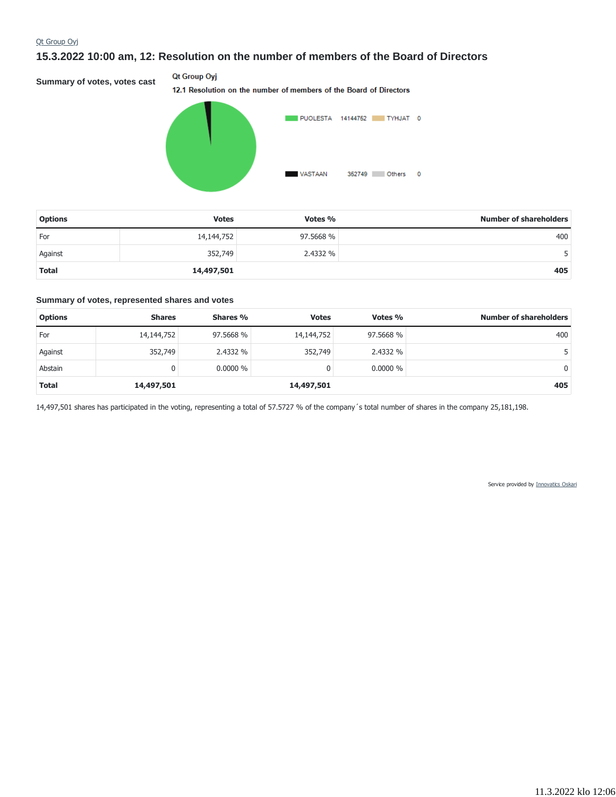## **15.3.2022 10:00 am, 12: Resolution on the number of members of the Board of Directors**

**Summary of votes, votes cast**

## Qt Group Oyj

12.1 Resolution on the number of members of the Board of Directors



| <b>Options</b> | <b>Votes</b> | Votes %   | <b>Number of shareholders</b> |
|----------------|--------------|-----------|-------------------------------|
| For            | 14,144,752   | 97.5668 % | 400                           |
| Against        | 352,749      | 2.4332 %  |                               |
| <b>Total</b>   | 14,497,501   |           | 405                           |

#### **Summary of votes, represented shares and votes**

| <b>Options</b> | <b>Shares</b> | Shares %   | <b>Votes</b> | Votes %    | <b>Number of shareholders</b> |
|----------------|---------------|------------|--------------|------------|-------------------------------|
| For            | 14,144,752    | 97.5668 %  | 14,144,752   | 97.5668 %  | 400                           |
| Against        | 352,749       | 2.4332 %   | 352,749      | 2.4332 %   |                               |
| Abstain        |               | $0.0000\%$ | 0            | $0.0000\%$ | $\Omega$                      |
| <b>Total</b>   | 14,497,501    |            | 14,497,501   |            | 405                           |

14,497,501 shares has participated in the voting, representing a total of 57.5727 % of the company´s total number of shares in the company 25,181,198.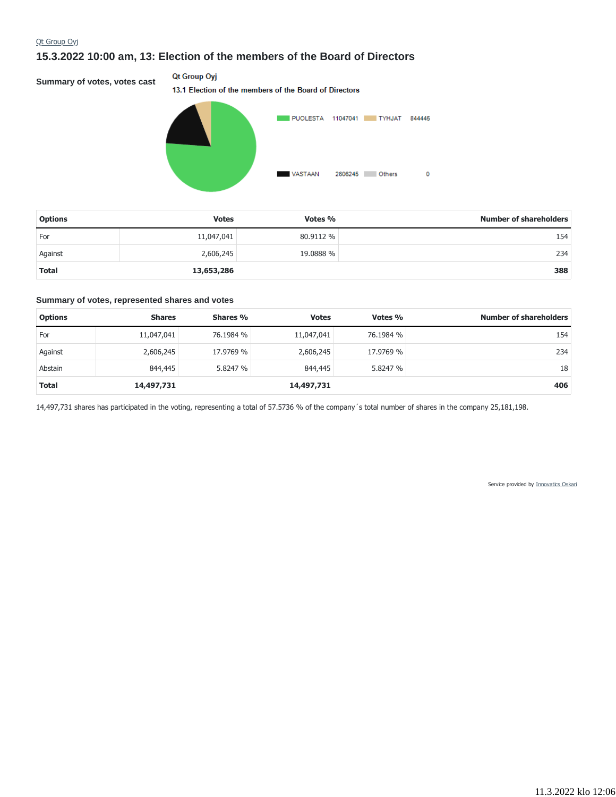# **15.3.2022 10:00 am, 13: Election of the members of the Board of Directors**

**Summary of votes, votes cast**

## Qt Group Oyj

13.1 Election of the members of the Board of Directors



| <b>Options</b> | <b>Votes</b> | Votes %   | <b>Number of shareholders</b> |
|----------------|--------------|-----------|-------------------------------|
| For            | 11,047,041   | 80.9112 % | 154                           |
| Against        | 2,606,245    | 19.0888 % | 234                           |
| <b>Total</b>   | 13,653,286   |           | 388                           |

#### **Summary of votes, represented shares and votes**

| <b>Options</b> | <b>Shares</b> | Shares %  | <b>Votes</b> | Votes %   | <b>Number of shareholders</b> |
|----------------|---------------|-----------|--------------|-----------|-------------------------------|
| For            | 11,047,041    | 76.1984 % | 11,047,041   | 76.1984 % | 154                           |
| Against        | 2,606,245     | 17.9769 % | 2,606,245    | 17.9769 % | 234                           |
| Abstain        | 844,445       | 5.8247 %  | 844,445      | 5.8247 %  | 18                            |
| <b>Total</b>   | 14,497,731    |           | 14,497,731   |           | 406                           |

14,497,731 shares has participated in the voting, representing a total of 57.5736 % of the company´s total number of shares in the company 25,181,198.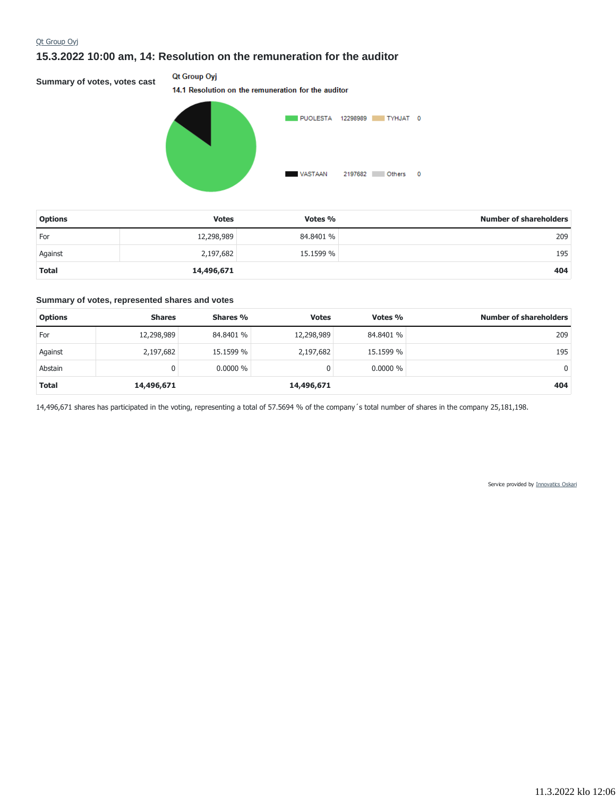# **15.3.2022 10:00 am, 14: Resolution on the remuneration for the auditor**

**Summary of votes, votes cast**

### Qt Group Oyj

14.1 Resolution on the remuneration for the auditor



| <b>Options</b> | <b>Votes</b> | Votes %   | <b>Number of shareholders</b> |
|----------------|--------------|-----------|-------------------------------|
| For            | 12,298,989   | 84.8401 % | 209                           |
| Against        | 2,197,682    | 15.1599 % | 195                           |
| <b>Total</b>   | 14,496,671   |           | 404                           |

#### **Summary of votes, represented shares and votes**

| <b>Options</b> | <b>Shares</b> | Shares %   | <b>Votes</b> | Votes %    | <b>Number of shareholders</b> |
|----------------|---------------|------------|--------------|------------|-------------------------------|
| For            | 12,298,989    | 84.8401 %  | 12,298,989   | 84.8401 %  | 209                           |
| Against        | 2,197,682     | 15.1599 %  | 2,197,682    | 15.1599 %  | 195                           |
| Abstain        | 0             | $0.0000\%$ |              | $0.0000\%$ | 0                             |
| <b>Total</b>   | 14,496,671    |            | 14,496,671   |            | 404                           |

14,496,671 shares has participated in the voting, representing a total of 57.5694 % of the company´s total number of shares in the company 25,181,198.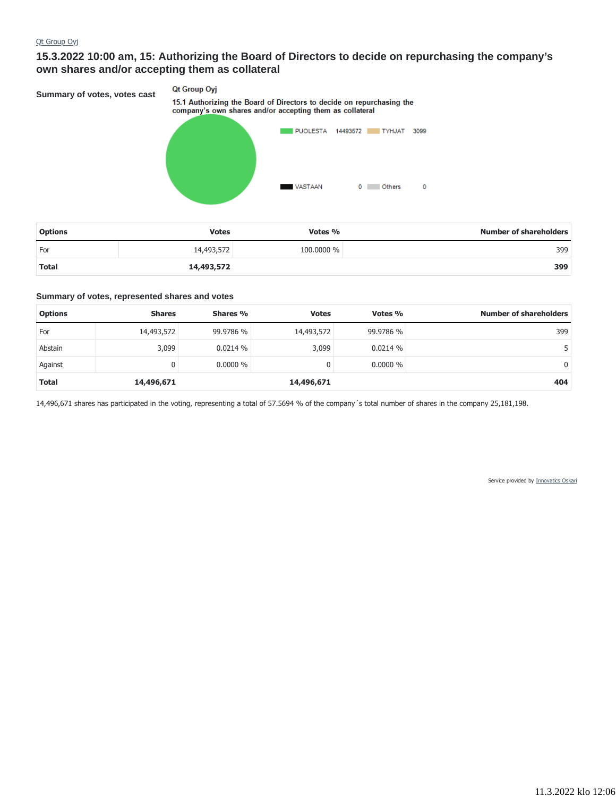# **15.3.2022 10:00 am, 15: Authorizing the Board of Directors to decide on repurchasing the company's own shares and/or accepting them as collateral**

**Summary of votes, votes cast**

## **Qt Group Oyj** 15.1 Authorizing the Board of Directors to decide on repurchasing the company's own shares and/or accepting them as collateral



| <b>Options</b> | <b>Votes</b> | Votes %    | <b>Number of shareholders</b> |
|----------------|--------------|------------|-------------------------------|
| For            | 14,493,572   | 100,0000 % | 399                           |
| <b>Total</b>   | 14,493,572   |            | 399                           |

#### **Summary of votes, represented shares and votes**

| <b>Options</b> | <b>Shares</b> | Shares %   | <b>Votes</b> | Votes %    | <b>Number of shareholders</b> |
|----------------|---------------|------------|--------------|------------|-------------------------------|
| For            | 14,493,572    | 99.9786 %  | 14,493,572   | 99.9786 %  | 399                           |
| Abstain        | 3,099         | 0.0214%    | 3,099        | 0.0214%    |                               |
| Against        | 0             | $0.0000\%$ |              | $0.0000\%$ | $\Omega$                      |
| <b>Total</b>   | 14,496,671    |            | 14,496,671   |            | 404                           |

14,496,671 shares has participated in the voting, representing a total of 57.5694 % of the company´s total number of shares in the company 25,181,198.